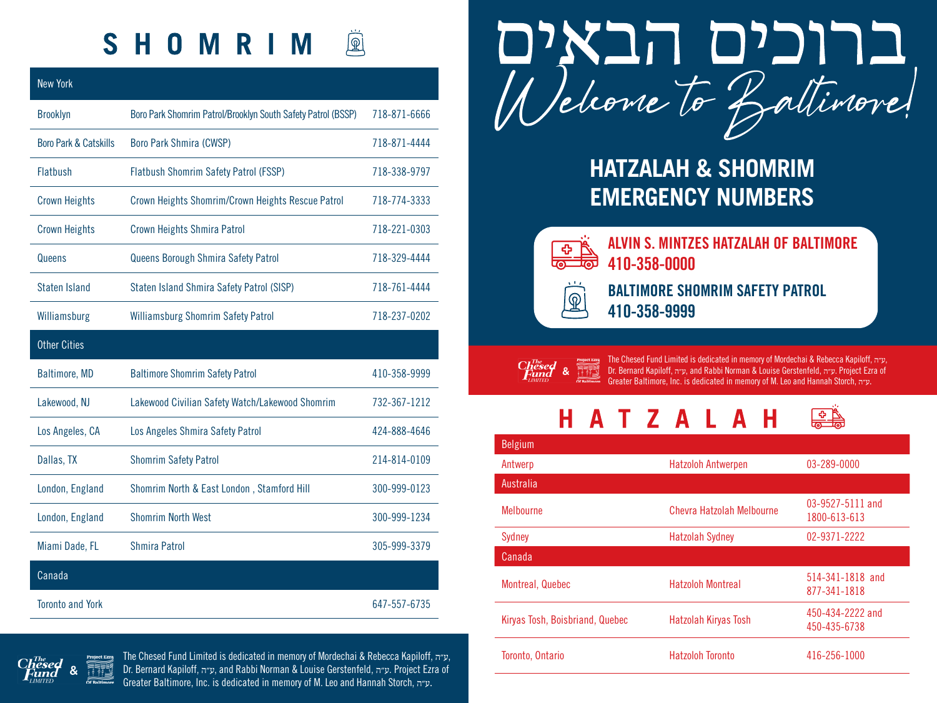## SHOMRIM 風

| <b>New York</b>                  |                                                              |              |
|----------------------------------|--------------------------------------------------------------|--------------|
| <b>Brooklyn</b>                  | Boro Park Shomrim Patrol/Brooklyn South Safety Patrol (BSSP) | 718-871-6666 |
| <b>Boro Park &amp; Catskills</b> | <b>Boro Park Shmira (CWSP)</b>                               | 718-871-4444 |
| <b>Flatbush</b>                  | Flatbush Shomrim Safety Patrol (FSSP)                        | 718-338-9797 |
| <b>Crown Heights</b>             | Crown Heights Shomrim/Crown Heights Rescue Patrol            | 718-774-3333 |
| <b>Crown Heights</b>             | <b>Crown Heights Shmira Patrol</b>                           | 718-221-0303 |
| Queens                           | Queens Borough Shmira Safety Patrol                          | 718-329-4444 |
| Staten Island                    | Staten Island Shmira Safety Patrol (SISP)                    | 718-761-4444 |
| Williamsburg                     | <b>Williamsburg Shomrim Safety Patrol</b>                    | 718-237-0202 |
| <b>Other Cities</b>              |                                                              |              |
| Baltimore, MD                    | <b>Baltimore Shomrim Safety Patrol</b>                       | 410-358-9999 |
| Lakewood, NJ                     | Lakewood Civilian Safety Watch/Lakewood Shomrim              | 732-367-1212 |
| Los Angeles, CA                  | Los Angeles Shmira Safety Patrol                             | 424-888-4646 |
| Dallas, TX                       | <b>Shomrim Safety Patrol</b>                                 | 214-814-0109 |
| London, England                  | Shomrim North & East London, Stamford Hill                   | 300-999-0123 |
| London, England                  | <b>Shomrim North West</b>                                    | 300-999-1234 |
| Miami Dade, FL                   | Shmira Patrol                                                | 305-999-3379 |
| Canada                           |                                                              |              |
| <b>Toronto and York</b>          |                                                              | 647-557-6735 |



## **HATZALAH & SHOMRIM EMERGENCY NUMBERS**



 $\pmb{\mathbb{Q}}$ 

**ALVIN S. MINTZES HATZALAH OF BALTIMORE 410-358-0000**

**BALTIMORE SHOMRIM SAFETY PATROL 410-358-9999**

 $C<sub>h</sub><sup>m<sub>e</sub></sup>$ <br>Fund &

The Chesed Fund Limited is dedicated in memory of Mordechai & Rebecca Kapiloff, אפיה<br>Dr. Bernard Kapiloff, איד, and Rabbi Norman & Louise Gerstenfeld, אפיה Project Ezra of<br>Greater Baltimore, Inc. is dedicated in memory of

| H A T Z A L A H $\quad \circledast$ |
|-------------------------------------|
|-------------------------------------|

| Belgium                         |                             |                                  |
|---------------------------------|-----------------------------|----------------------------------|
| Antwerp                         | <b>Hatzoloh Antwerpen</b>   | 03-289-0000                      |
| Australia                       |                             |                                  |
| <b>Melhourne</b>                | Chevra Hatzolah Melbourne   | 03-9527-5111 and<br>1800-613-613 |
| Sydney                          | <b>Hatzolah Sydney</b>      | 02-9371-2222                     |
| Canada                          |                             |                                  |
| Montreal, Quebec                | <b>Hatzoloh Montreal</b>    | 514-341-1818 and<br>877-341-1818 |
| Kiryas Tosh, Boisbriand, Quebec | <b>Hatzolah Kiryas Tosh</b> | 450-434-2222 and<br>450-435-6738 |
| Toronto, Ontario                | <b>Hatzoloh Toronto</b>     | 416-256-1000                     |



The Chesed Fund Limited is dedicated in memory of Mordechai & Rebecca Kapiloff, אפיה<br>Dr. Bernard Kapiloff, היידי, and Rabbi Norman & Louise Gerstenfeld, היידי, Project Ezra of<br>Greater Baltimore, Inc. is dedicated in memor